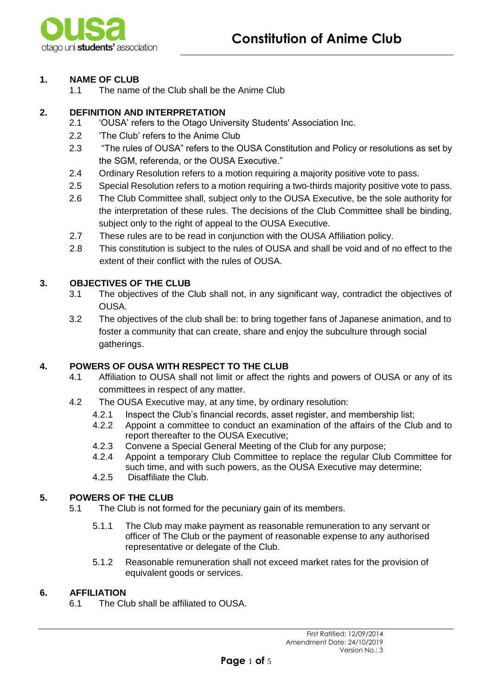

# **1. NAME OF CLUB**

1.1 The name of the Club shall be the Anime Club

# **2. DEFINITION AND INTERPRETATION**

- 2.1 'OUSA' refers to the Otago University Students' Association Inc.
- 2.2 'The Club' refers to the Anime Club
- 2.3 "The rules of OUSA" refers to the OUSA Constitution and Policy or resolutions as set by the SGM, referenda, or the OUSA Executive."
- 2.4 Ordinary Resolution refers to a motion requiring a majority positive vote to pass.
- 2.5 Special Resolution refers to a motion requiring a two-thirds majority positive vote to pass.
- 2.6 The Club Committee shall, subject only to the OUSA Executive, be the sole authority for the interpretation of these rules. The decisions of the Club Committee shall be binding, subject only to the right of appeal to the OUSA Executive.
- 2.7 These rules are to be read in conjunction with the OUSA Affiliation policy.
- 2.8 This constitution is subject to the rules of OUSA and shall be void and of no effect to the extent of their conflict with the rules of OUSA.

# **3. OBJECTIVES OF THE CLUB**

- 3.1 The objectives of the Club shall not, in any significant way, contradict the objectives of OUSA.
- 3.2 The objectives of the club shall be: to bring together fans of Japanese animation, and to foster a community that can create, share and enjoy the subculture through social gatherings.

#### **4. POWERS OF OUSA WITH RESPECT TO THE CLUB**

- 4.1 Affiliation to OUSA shall not limit or affect the rights and powers of OUSA or any of its committees in respect of any matter.
- 4.2 The OUSA Executive may, at any time, by ordinary resolution:
	- 4.2.1 Inspect the Club's financial records, asset register, and membership list;
		- 4.2.2 Appoint a committee to conduct an examination of the affairs of the Club and to report thereafter to the OUSA Executive;
	- 4.2.3 Convene a Special General Meeting of the Club for any purpose;
	- 4.2.4 Appoint a temporary Club Committee to replace the regular Club Committee for such time, and with such powers, as the OUSA Executive may determine;
	- 4.2.5 Disaffiliate the Club.

# **5. POWERS OF THE CLUB**

- 5.1 The Club is not formed for the pecuniary gain of its members.
	- 5.1.1 The Club may make payment as reasonable remuneration to any servant or officer of The Club or the payment of reasonable expense to any authorised representative or delegate of the Club.
	- 5.1.2 Reasonable remuneration shall not exceed market rates for the provision of equivalent goods or services.

#### **6. AFFILIATION**

6.1 The Club shall be affiliated to OUSA.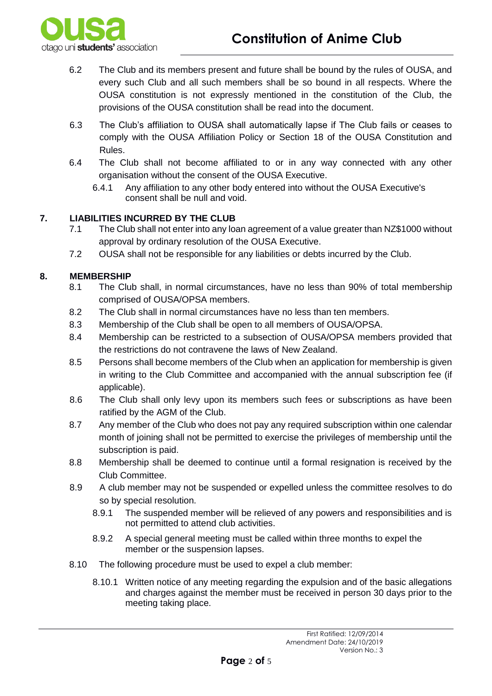

- 6.2 The Club and its members present and future shall be bound by the rules of OUSA, and every such Club and all such members shall be so bound in all respects. Where the OUSA constitution is not expressly mentioned in the constitution of the Club, the provisions of the OUSA constitution shall be read into the document.
- 6.3 The Club's affiliation to OUSA shall automatically lapse if The Club fails or ceases to comply with the OUSA Affiliation Policy or Section 18 of the OUSA Constitution and Rules.
- 6.4 The Club shall not become affiliated to or in any way connected with any other organisation without the consent of the OUSA Executive.
	- 6.4.1 Any affiliation to any other body entered into without the OUSA Executive's consent shall be null and void.

# **7. LIABILITIES INCURRED BY THE CLUB**

- 7.1 The Club shall not enter into any loan agreement of a value greater than NZ\$1000 without approval by ordinary resolution of the OUSA Executive.
- 7.2 OUSA shall not be responsible for any liabilities or debts incurred by the Club.

# **8. MEMBERSHIP**

- 8.1 The Club shall, in normal circumstances, have no less than 90% of total membership comprised of OUSA/OPSA members.
- 8.2 The Club shall in normal circumstances have no less than ten members.
- 8.3 Membership of the Club shall be open to all members of OUSA/OPSA.
- 8.4 Membership can be restricted to a subsection of OUSA/OPSA members provided that the restrictions do not contravene the laws of New Zealand.
- 8.5 Persons shall become members of the Club when an application for membership is given in writing to the Club Committee and accompanied with the annual subscription fee (if applicable).
- 8.6 The Club shall only levy upon its members such fees or subscriptions as have been ratified by the AGM of the Club.
- 8.7 Any member of the Club who does not pay any required subscription within one calendar month of joining shall not be permitted to exercise the privileges of membership until the subscription is paid.
- 8.8 Membership shall be deemed to continue until a formal resignation is received by the Club Committee.
- 8.9 A club member may not be suspended or expelled unless the committee resolves to do so by special resolution.
	- 8.9.1 The suspended member will be relieved of any powers and responsibilities and is not permitted to attend club activities.
	- 8.9.2 A special general meeting must be called within three months to expel the member or the suspension lapses.
- 8.10 The following procedure must be used to expel a club member:
	- 8.10.1 Written notice of any meeting regarding the expulsion and of the basic allegations and charges against the member must be received in person 30 days prior to the meeting taking place.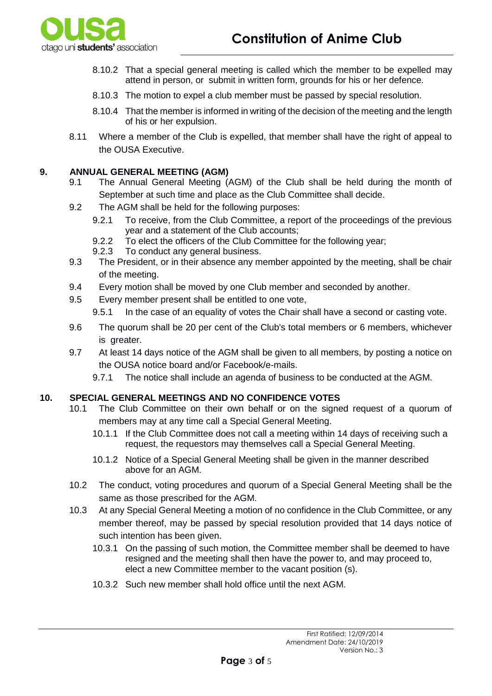

- 8.10.2 That a special general meeting is called which the member to be expelled may attend in person, or submit in written form, grounds for his or her defence.
- 8.10.3 The motion to expel a club member must be passed by special resolution.
- 8.10.4 That the member is informed in writing of the decision of the meeting and the length of his or her expulsion.
- 8.11 Where a member of the Club is expelled, that member shall have the right of appeal to the OUSA Executive.

#### **9. ANNUAL GENERAL MEETING (AGM)**

- 9.1 The Annual General Meeting (AGM) of the Club shall be held during the month of September at such time and place as the Club Committee shall decide.
- 9.2 The AGM shall be held for the following purposes:
	- 9.2.1 To receive, from the Club Committee, a report of the proceedings of the previous year and a statement of the Club accounts;
	- 9.2.2 To elect the officers of the Club Committee for the following year;
	- 9.2.3 To conduct any general business.
- 9.3 The President, or in their absence any member appointed by the meeting, shall be chair of the meeting.
- 9.4 Every motion shall be moved by one Club member and seconded by another.
- 9.5 Every member present shall be entitled to one vote,
	- 9.5.1 In the case of an equality of votes the Chair shall have a second or casting vote.
- 9.6 The quorum shall be 20 per cent of the Club's total members or 6 members, whichever is greater.
- 9.7 At least 14 days notice of the AGM shall be given to all members, by posting a notice on the OUSA notice board and/or Facebook/e-mails.
	- 9.7.1 The notice shall include an agenda of business to be conducted at the AGM.

#### **10. SPECIAL GENERAL MEETINGS AND NO CONFIDENCE VOTES**

- 10.1 The Club Committee on their own behalf or on the signed request of a quorum of members may at any time call a Special General Meeting.
	- 10.1.1 If the Club Committee does not call a meeting within 14 days of receiving such a request, the requestors may themselves call a Special General Meeting.
	- 10.1.2 Notice of a Special General Meeting shall be given in the manner described above for an AGM.
- 10.2 The conduct, voting procedures and quorum of a Special General Meeting shall be the same as those prescribed for the AGM.
- 10.3 At any Special General Meeting a motion of no confidence in the Club Committee, or any member thereof, may be passed by special resolution provided that 14 days notice of such intention has been given.
	- 10.3.1 On the passing of such motion, the Committee member shall be deemed to have resigned and the meeting shall then have the power to, and may proceed to, elect a new Committee member to the vacant position (s).
	- 10.3.2 Such new member shall hold office until the next AGM.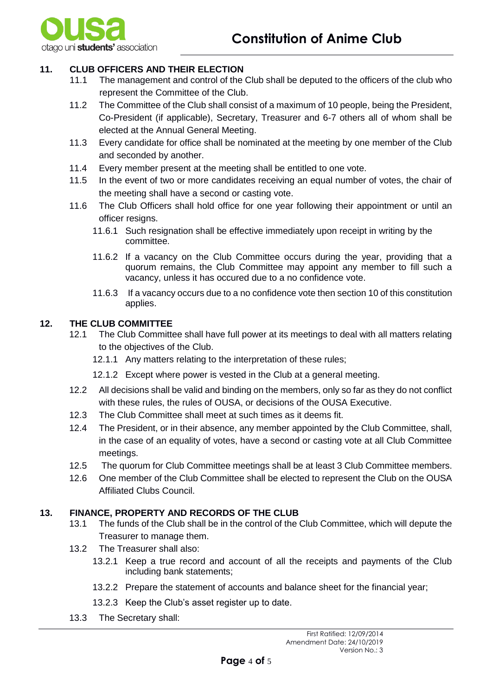

# **11. CLUB OFFICERS AND THEIR ELECTION**

- 11.1 The management and control of the Club shall be deputed to the officers of the club who represent the Committee of the Club.
- 11.2 The Committee of the Club shall consist of a maximum of 10 people, being the President, Co-President (if applicable), Secretary, Treasurer and 6-7 others all of whom shall be elected at the Annual General Meeting.
- 11.3 Every candidate for office shall be nominated at the meeting by one member of the Club and seconded by another.
- 11.4 Every member present at the meeting shall be entitled to one vote.
- 11.5 In the event of two or more candidates receiving an equal number of votes, the chair of the meeting shall have a second or casting vote.
- 11.6 The Club Officers shall hold office for one year following their appointment or until an officer resigns.
	- 11.6.1 Such resignation shall be effective immediately upon receipt in writing by the committee.
	- 11.6.2 If a vacancy on the Club Committee occurs during the year, providing that a quorum remains, the Club Committee may appoint any member to fill such a vacancy, unless it has occured due to a no confidence vote.
	- 11.6.3 If a vacancy occurs due to a no confidence vote then section 10 of this constitution applies.

# **12. THE CLUB COMMITTEE**

- 12.1 The Club Committee shall have full power at its meetings to deal with all matters relating to the objectives of the Club.
	- 12.1.1 Any matters relating to the interpretation of these rules;
	- 12.1.2 Except where power is vested in the Club at a general meeting.
- 12.2 All decisions shall be valid and binding on the members, only so far as they do not conflict with these rules, the rules of OUSA, or decisions of the OUSA Executive.
- 12.3 The Club Committee shall meet at such times as it deems fit.
- 12.4 The President, or in their absence, any member appointed by the Club Committee, shall, in the case of an equality of votes, have a second or casting vote at all Club Committee meetings.
- 12.5 The quorum for Club Committee meetings shall be at least 3 Club Committee members.
- 12.6 One member of the Club Committee shall be elected to represent the Club on the OUSA Affiliated Clubs Council.

#### **13. FINANCE, PROPERTY AND RECORDS OF THE CLUB**

- 13.1 The funds of the Club shall be in the control of the Club Committee, which will depute the Treasurer to manage them.
- 13.2 The Treasurer shall also:
	- 13.2.1 Keep a true record and account of all the receipts and payments of the Club including bank statements;
	- 13.2.2 Prepare the statement of accounts and balance sheet for the financial year;
	- 13.2.3 Keep the Club's asset register up to date.
- 13.3 The Secretary shall: